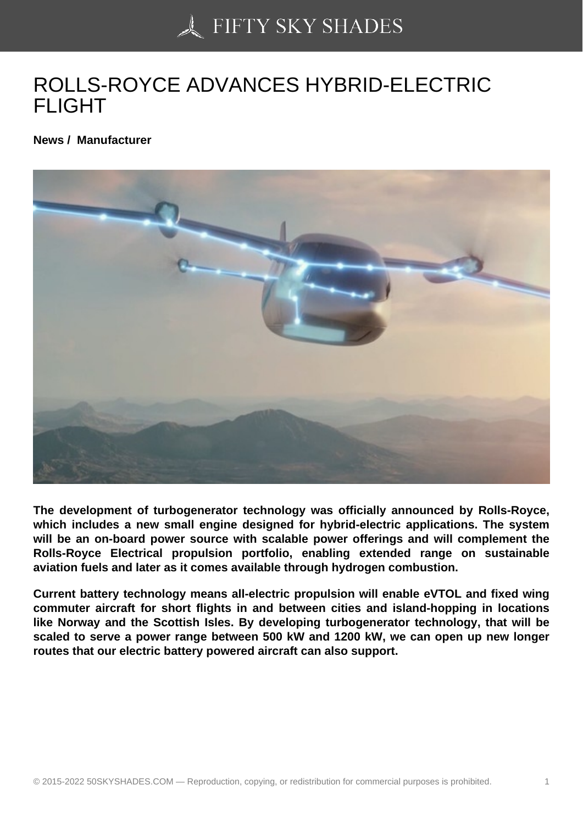## [ROLLS-ROYCE ADVA](https://50skyshades.com)NCES HYBRID-ELECTRIC FLIGHT

News / Manufacturer

The development of turbogenerator technology was officially announced by Rolls-Royce, which includes a new small engine designed for hybrid-electric applications. The system will be an on-board power source with scalable power offerings and will complement the Rolls-Royce Electrical propulsion portfolio, enabling extended range on sustainable aviation fuels and later as it comes available through hydrogen combustion.

Current battery technology means all-electric propulsion will enable eVTOL and fixed wing commuter aircraft for short flights in and between cities and island-hopping in locations like Norway and the Scottish Isles. By developing turbogenerator technology, that will be scaled to serve a power range between 500 kW and 1200 kW, we can open up new longer routes that our electric battery powered aircraft can also support.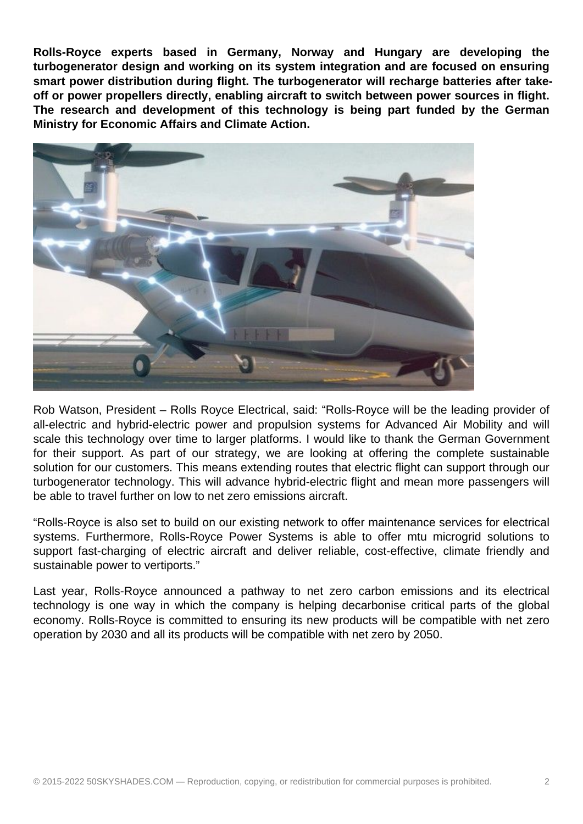**Rolls-Royce experts based in Germany, Norway and Hungary are developing the turbogenerator design and working on its system integration and are focused on ensuring smart power distribution during flight. The turbogenerator will recharge batteries after takeoff or power propellers directly, enabling aircraft to switch between power sources in flight. The research and development of this technology is being part funded by the German Ministry for Economic Affairs and Climate Action.**



Rob Watson, President – Rolls Royce Electrical, said: "Rolls-Royce will be the leading provider of all-electric and hybrid-electric power and propulsion systems for Advanced Air Mobility and will scale this technology over time to larger platforms. I would like to thank the German Government for their support. As part of our strategy, we are looking at offering the complete sustainable solution for our customers. This means extending routes that electric flight can support through our turbogenerator technology. This will advance hybrid-electric flight and mean more passengers will be able to travel further on low to net zero emissions aircraft.

"Rolls-Royce is also set to build on our existing network to offer maintenance services for electrical systems. Furthermore, Rolls-Royce Power Systems is able to offer mtu microgrid solutions to support fast-charging of electric aircraft and deliver reliable, cost-effective, climate friendly and sustainable power to vertiports."

Last year, Rolls-Royce announced a pathway to net zero carbon emissions and its electrical technology is one way in which the company is helping decarbonise critical parts of the global economy. Rolls-Royce is committed to ensuring its new products will be compatible with net zero operation by 2030 and all its products will be compatible with net zero by 2050.